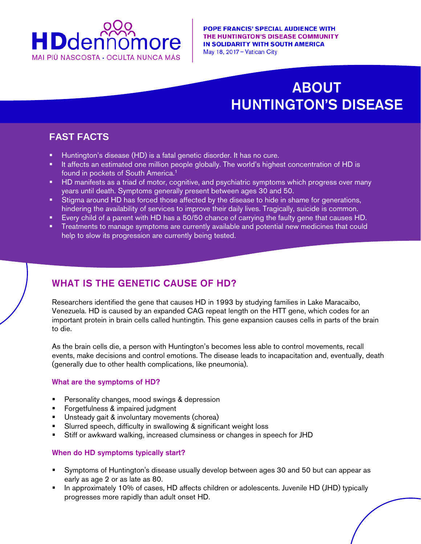

# ABOUT HUNTINGTON'S DISEASE

## **FAST FACTS**

currently being tested.

- Huntington's disease (HD) is a fatal genetic disorder. It has no cure.
- It affects an estimated one million people globally. The world's highest concentration of HD is found in pockets of South America.<sup>1</sup>
- **HD** manifests as a triad of motor, cognitive, and psychiatric symptoms which progress over many years until death. Symptoms generally present between ages 30 and 50.
- Stigma around HD has forced those affected by the disease to hide in shame for generations, hindering the availability of services to improve their daily lives. Tragically, suicide is common.
- Every child of a parent with HD has a 50/50 chance of carrying the faulty gene that causes HD.
- **Treatments to manage symptoms are currently available and potential new medicines that could** help to slow its progression are currently being tested.

## WHAT IS THE GENETIC CAUSE OF HD?

Researchers identified the gene that causes HD in 1993 by studying families in Lake Maracaibo, Venezuela. HD is caused by an expanded CAG repeat length on the HTT gene, which codes for an important protein in brain cells called huntingtin. This gene expansion causes cells in parts of the brain to die.

As the brain cells die, a person with Huntington's becomes less able to control movements, recall events, make decisions and control emotions. The disease leads to incapacitation and, eventually, death (generally due to other health complications, like pneumonia).

#### What are the symptoms of HD?

- **Personality changes, mood swings & depression**
- Forgetfulness & impaired judgment
- Unsteady gait & involuntary movements (chorea)
- **Slurred speech, difficulty in swallowing & significant weight loss**
- Stiff or awkward walking, increased clumsiness or changes in speech for JHD

#### When do HD symptoms typically start?

- Symptoms of Huntington's disease usually develop between ages 30 and 50 but can appear as early as age 2 or as late as 80.
- In approximately 10% of cases, HD affects children or adolescents. Juvenile HD (JHD) typically progresses more rapidly than adult onset HD.